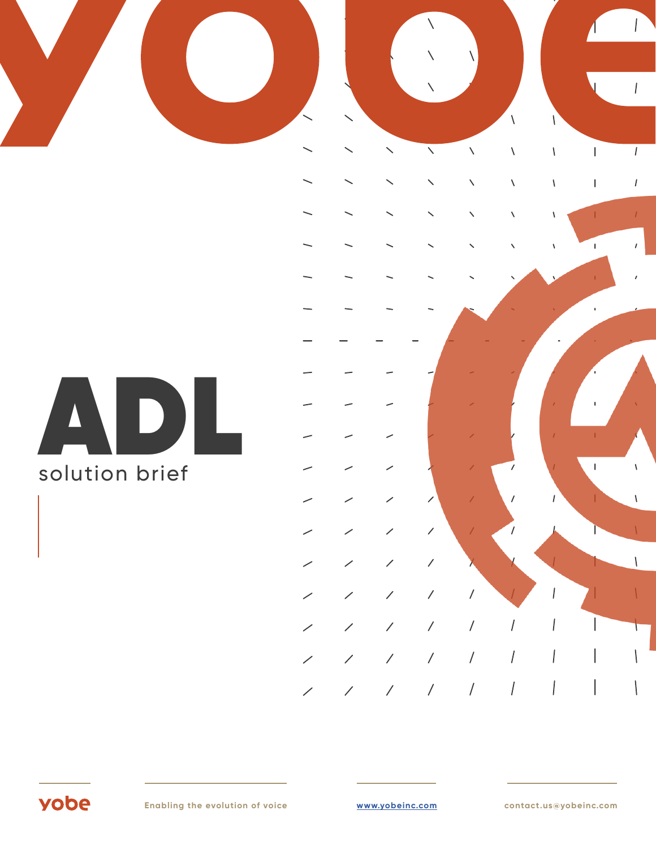# ADL solution brief

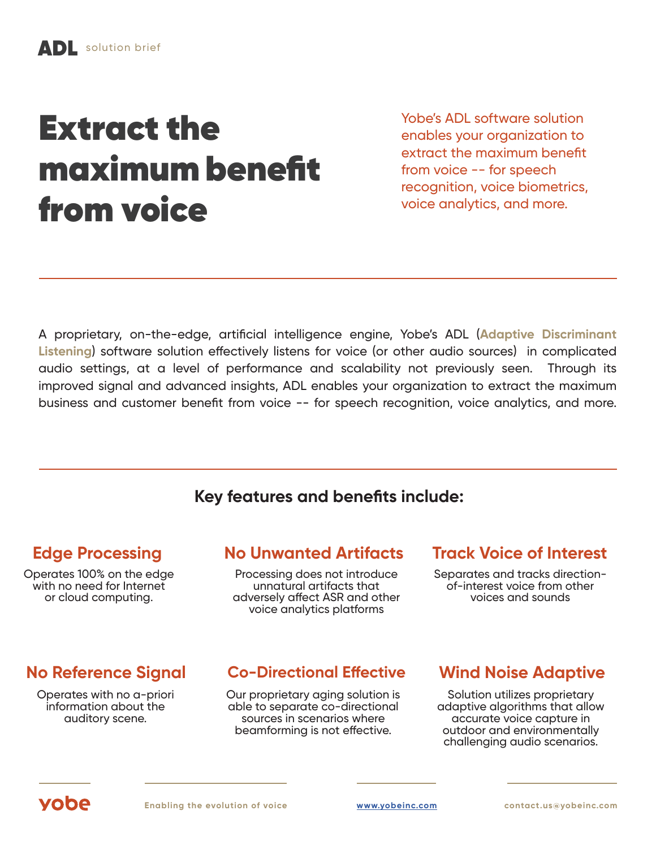# Extract the maximum benefit from voice

Yobe's ADL software solution enables your organization to extract the maximum benefit from voice -- for speech recognition, voice biometrics, voice analytics, and more.

A proprietary, on-the-edge, artificial intelligence engine, Yobe's ADL (**Adaptive Discriminant Listening**) software solution effectively listens for voice (or other audio sources) in complicated audio settings, at a level of performance and scalability not previously seen. Through its improved signal and advanced insights, ADL enables your organization to extract the maximum business and customer benefit from voice -- for speech recognition, voice analytics, and more.

### **Key features and benefits include:**

Operates 100% on the edge with no need for Internet or cloud computing.

### **Edge Processing No Unwanted Artifacts Track Voice of Interest**

Processing does not introduce unnatural artifacts that adversely affect ASR and other voice analytics platforms

Separates and tracks directionof-interest voice from other voices and sounds

Operates with no a-priori information about the auditory scene.

### **No Reference Signal Co-Directional Effective Wind Noise Adaptive**

Our proprietary aging solution is able to separate co-directional sources in scenarios where beamforming is not effective.

Solution utilizes proprietary adaptive algorithms that allow accurate voice capture in outdoor and environmentally challenging audio scenarios.

# vobe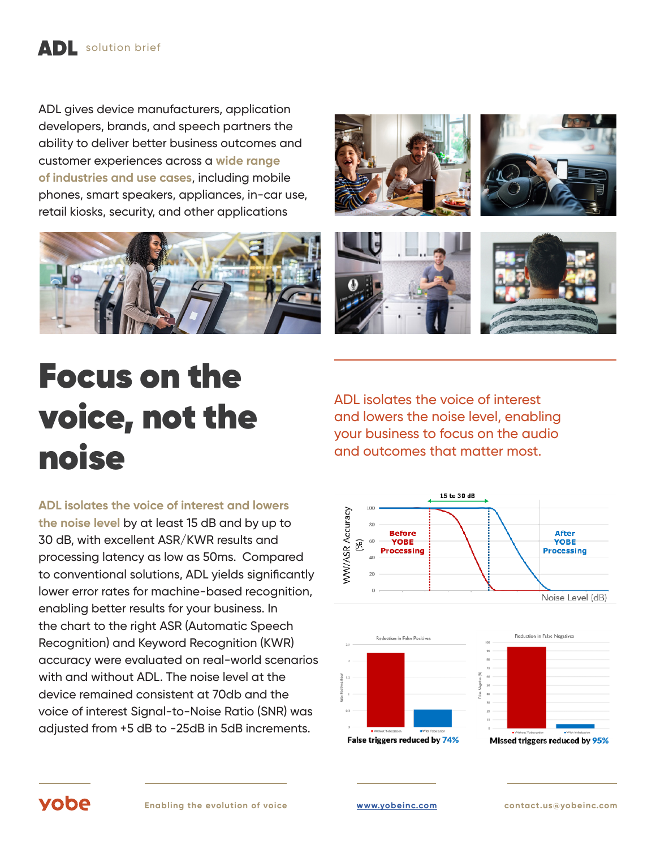## ADL solution brief

ADL gives device manufacturers, application developers, brands, and speech partners the ability to deliver better business outcomes and customer experiences across a **wide range of industries and use cases**, including mobile phones, smart speakers, appliances, in-car use, retail kiosks, security, and other applications









# Focus on the voice, not the noise

**ADL isolates the voice of interest and lowers the noise level** by at least 15 dB and by up to 30 dB, with excellent ASR/KWR results and processing latency as low as 50ms. Compared to conventional solutions, ADL yields significantly lower error rates for machine-based recognition, enabling better results for your business. In the chart to the right ASR (Automatic Speech Recognition) and Keyword Recognition (KWR) accuracy were evaluated on real-world scenarios with and without ADL. The noise level at the device remained consistent at 70db and the voice of interest Signal-to-Noise Ratio (SNR) was adjusted from +5 dB to -25dB in 5dB increments.

ADL isolates the voice of interest and lowers the noise level, enabling your business to focus on the audio and outcomes that matter most.







### vobe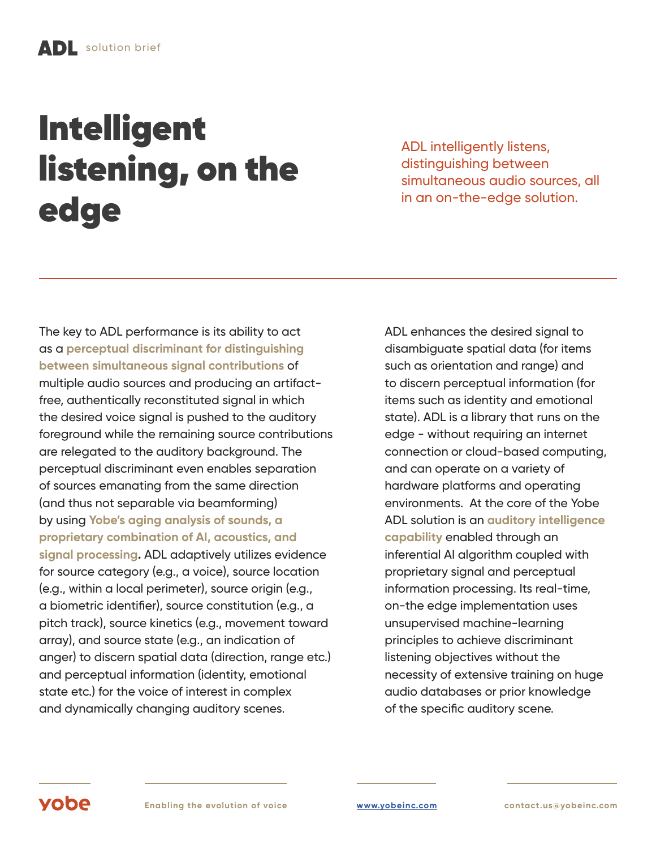# **Intelligent** listening, on the edge

ADL intelligently listens, distinguishing between simultaneous audio sources, all in an on-the-edge solution.

The key to ADL performance is its ability to act as a **perceptual discriminant for distinguishing between simultaneous signal contributions** of multiple audio sources and producing an artifactfree, authentically reconstituted signal in which the desired voice signal is pushed to the auditory foreground while the remaining source contributions are relegated to the auditory background. The perceptual discriminant even enables separation of sources emanating from the same direction (and thus not separable via beamforming) by using **Yobe's aging analysis of sounds, a proprietary combination of AI, acoustics, and signal processing.** ADL adaptively utilizes evidence for source category (e.g., a voice), source location (e.g., within a local perimeter), source origin (e.g., a biometric identifier), source constitution (e.g., a pitch track), source kinetics (e.g., movement toward array), and source state (e.g., an indication of anger) to discern spatial data (direction, range etc.) and perceptual information (identity, emotional state etc.) for the voice of interest in complex and dynamically changing auditory scenes.

ADL enhances the desired signal to disambiguate spatial data (for items such as orientation and range) and to discern perceptual information (for items such as identity and emotional state). ADL is a library that runs on the edge - without requiring an internet connection or cloud-based computing, and can operate on a variety of hardware platforms and operating environments. At the core of the Yobe ADL solution is an **auditory intelligence capability** enabled through an inferential AI algorithm coupled with proprietary signal and perceptual information processing. Its real-time, on-the edge implementation uses unsupervised machine-learning principles to achieve discriminant listening objectives without the necessity of extensive training on huge audio databases or prior knowledge of the specific auditory scene.